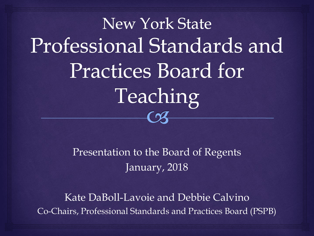New York State Professional Standards and **Practices Board for** Teaching  $\mathcal{C}$ 

> Presentation to the Board of Regents January, 2018

Kate DaBoll-Lavoie and Debbie Calvino Co-Chairs, Professional Standards and Practices Board (PSPB)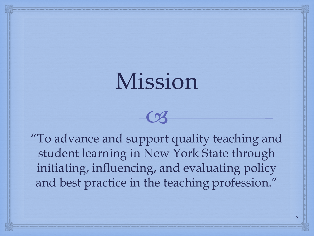### Mission

 $C<sub>3</sub>$ 

"To advance and support quality teaching and student learning in New York State through initiating, influencing, and evaluating policy and best practice in the teaching profession."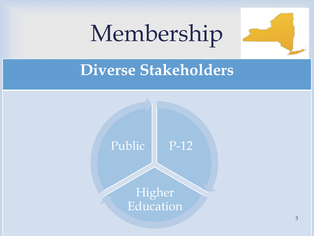## Membership



### **Diverse Stakeholders**



**Higher** Education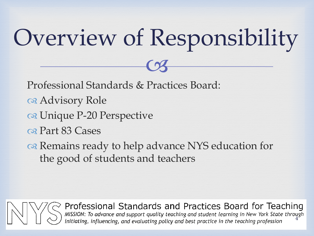# Overview of Responsibility

 $C<sub>3</sub>$ 

Professional Standards & Practices Board:

- a Advisory Role
- os Unique P-20 Perspective
- os Part 83 Cases
- of Remains ready to help advance NYS education for the good of students and teachers



Professional Standards and Practices Board for Teaching<br>
MISSION: To advance and support quality teaching and student learning in New York State through<br>
initiating, influencing, and evaluating policy and best practice in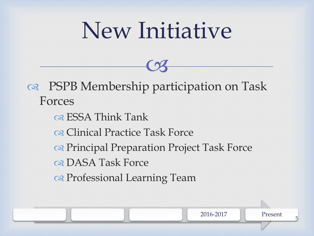## New Initiative

 $C<sub>3</sub>$ 

 PSPB Membership participation on Task Forces os ESSA Think Tank

Clinical Practice Task Force

os Principal Preparation Project Task Force

2016-2017 Present

5

os DASA Task Force

os Professional Learning Team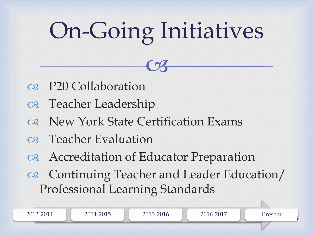# On-Going Initiatives

 $C<sub>3</sub>$ 

- P20 Collaboration
- os Teacher Leadership
- ork State Certification Exams
- o<sub>8</sub> Teacher Evaluation
- Accreditation of Educator Preparation
- Continuing Teacher and Leader Education/ Professional Learning Standards

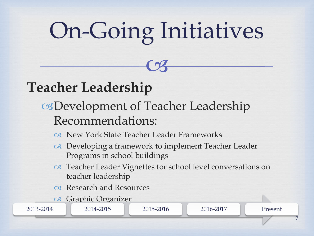# On-Going Initiatives

 $C<sub>3</sub>$ 

#### **Teacher Leadership**

- Development of Teacher Leadership Recommendations:
	- New York State Teacher Leader Frameworks
	- or Developing a framework to implement Teacher Leader Programs in school buildings
	- on Teacher Leader Vignettes for school level conversations on teacher leadership
	- os Research and Resources
	- os Graphic Organizer

2013-2014 2014-2015 2015-2016 2016-2017 Present

7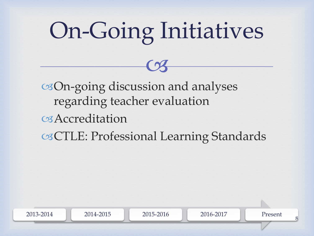# On-Going Initiatives

 $C<sub>3</sub>$ 

On-going discussion and analyses regarding teacher evaluation Accreditation CTLE: Professional Learning Standards

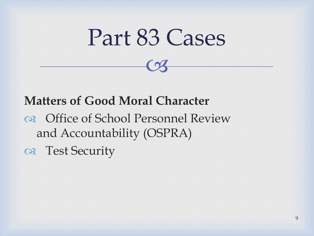### Part 83 Cases

 $C<sub>3</sub>$ 

### **Matters of Good Moral Character**

 Office of School Personnel Review and Accountability (OSPRA)

Test Security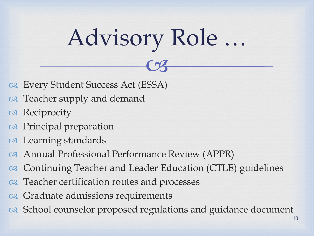# Advisory Role …

 $C<sub>3</sub>$ 

- Every Student Success Act (ESSA)
- or Teacher supply and demand
- os Reciprocity
- os Principal preparation
- os Learning standards
- Annual Professional Performance Review (APPR)
- or Continuing Teacher and Leader Education (CTLE) guidelines
- or Teacher certification routes and processes
- Graduate admissions requirements
- or School counselor proposed regulations and guidance document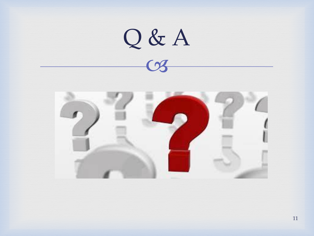

11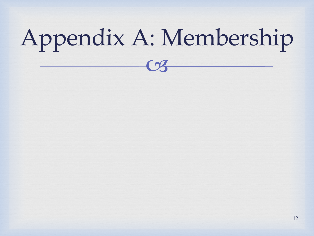## $C<sub>3</sub>$ Appendix A: Membership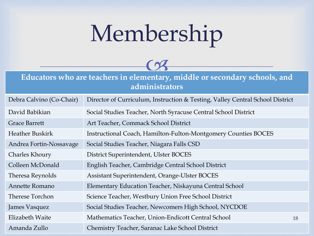## Membership



**Educators who are teachers in elementary, middle or secondary schools, and administrators**

| Debra Calvino (Co-Chair) | Director of Curriculum, Instruction & Testing, Valley Central School District |    |
|--------------------------|-------------------------------------------------------------------------------|----|
| David Babikian           | Social Studies Teacher, North Syracuse Central School District                |    |
| <b>Grace Barrett</b>     | Art Teacher, Commack School District                                          |    |
| <b>Heather Buskirk</b>   | Instructional Coach, Hamilton-Fulton-Montgomery Counties BOCES                |    |
| Andrea Fortin-Nossavage  | Social Studies Teacher, Niagara Falls CSD                                     |    |
| Charles Khoury           | District Superintendent, Ulster BOCES                                         |    |
| Colleen McDonald         | English Teacher, Cambridge Central School District                            |    |
| Theresa Reynolds         | Assistant Superintendent, Orange-Ulster BOCES                                 |    |
| Annette Romano           | Elementary Education Teacher, Niskayuna Central School                        |    |
| Therese Torchon          | Science Teacher, Westbury Union Free School District                          |    |
| James Vasquez            | Social Studies Teacher, Newcomers High School, NYCDOE                         |    |
| Elizabeth Waite          | Mathematics Teacher, Union-Endicott Central School                            | 18 |
| Amanda Zullo             | Chemistry Teacher, Saranac Lake School District                               |    |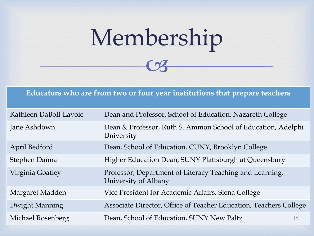## $C<sub>3</sub>$ Membership

#### **Educators who are from two or four year institutions that prepare teachers**

| Kathleen DaBoll-Lavoie | Dean and Professor, School of Education, Nazareth College                        |    |
|------------------------|----------------------------------------------------------------------------------|----|
| Jane Ashdown           | Dean & Professor, Ruth S. Ammon School of Education, Adelphi<br>University       |    |
| April Bedford          | Dean, School of Education, CUNY, Brooklyn College                                |    |
| Stephen Danna          | Higher Education Dean, SUNY Plattsburgh at Queensbury                            |    |
| Virginia Goatley       | Professor, Department of Literacy Teaching and Learning,<br>University of Albany |    |
| Margaret Madden        | Vice President for Academic Affairs, Siena College                               |    |
| Dwight Manning         | Associate Director, Office of Teacher Education, Teachers College                |    |
| Michael Rosenberg      | Dean, School of Education, SUNY New Paltz                                        | 14 |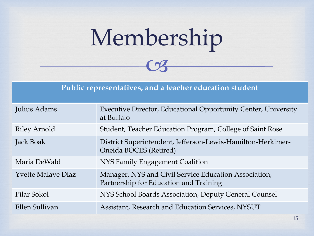## $C<sub>3</sub>$ Membership



| Julius Adams              | <b>Executive Director, Educational Opportunity Center, University</b><br>at Buffalo             |
|---------------------------|-------------------------------------------------------------------------------------------------|
| <b>Riley Arnold</b>       | Student, Teacher Education Program, College of Saint Rose                                       |
| Jack Boak                 | District Superintendent, Jefferson-Lewis-Hamilton-Herkimer-<br>Oneida BOCES (Retired)           |
| Maria DeWald              | <b>NYS Family Engagement Coalition</b>                                                          |
| <b>Yvette Malaye Diaz</b> | Manager, NYS and Civil Service Education Association,<br>Partnership for Education and Training |
| Pilar Sokol               | NYS School Boards Association, Deputy General Counsel                                           |
| Ellen Sullivan            | Assistant, Research and Education Services, NYSUT                                               |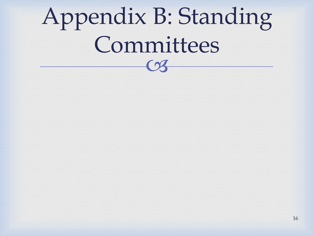# Appendix B: Standing Committees

 $\Omega$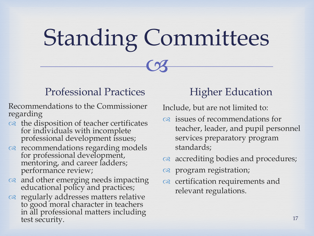# Standing Committees

 $C<sub>3</sub>$ 

#### Professional Practices

Recommendations to the Commissioner regarding

- ca the disposition of teacher certificates for individuals with incomplete professional development issues;
- recommendations regarding models for professional development, mentoring, and career ladders; performance review;
- $\infty$  and other emerging needs impacting educational policy and practices;
- a regularly addresses matters relative to good moral character in teachers in all professional matters including test security.

#### Higher Education

Include, but are not limited to:

- issues of recommendations for teacher, leader, and pupil personnel services preparatory program standards;
- as accrediting bodies and procedures;
- program registration;
- $\infty$  certification requirements and relevant regulations.